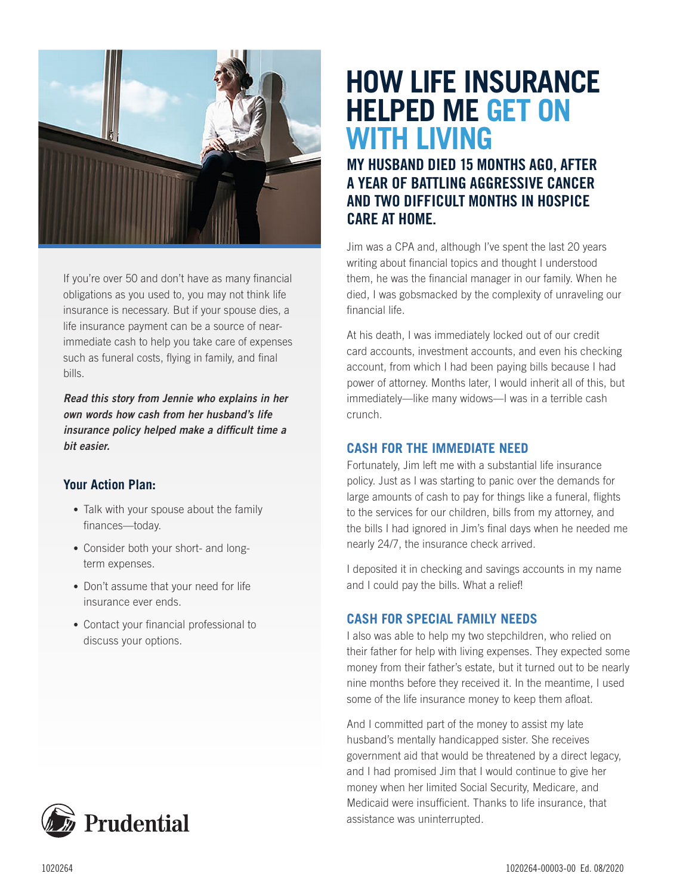

If you're over 50 and don't have as many financial obligations as you used to, you may not think life insurance is necessary. But if your spouse dies, a life insurance payment can be a source of nearimmediate cash to help you take care of expenses such as funeral costs, flying in family, and final bills.

*Read this story from Jennie who explains in her own words how cash from her husband's life insurance policy helped make a difficult time a bit easier.*

#### **Your Action Plan:**

- Talk with your spouse about the family finances—today.
- Consider both your short- and longterm expenses.
- Don't assume that your need for life insurance ever ends.
- Contact your financial professional to discuss your options.

# **HOW LIFE INSURANCE HELPED ME GET ON WITH LIVING**

## MY HUSBAND DIED 15 MONTHS AGO, AFTER A YEAR OF BATTLING AGGRESSIVE CANCER AND TWO DIFFICULT MONTHS IN HOSPICE CARE AT HOME.

Jim was a CPA and, although I've spent the last 20 years writing about financial topics and thought I understood them, he was the financial manager in our family. When he died, I was gobsmacked by the complexity of unraveling our financial life.

At his death, I was immediately locked out of our credit card accounts, investment accounts, and even his checking account, from which I had been paying bills because I had power of attorney. Months later, I would inherit all of this, but immediately—like many widows—I was in a terrible cash crunch.

#### **CASH FOR THE IMMEDIATE NEED**

Fortunately, Jim left me with a substantial life insurance policy. Just as I was starting to panic over the demands for large amounts of cash to pay for things like a funeral, flights to the services for our children, bills from my attorney, and the bills I had ignored in Jim's final days when he needed me nearly 24/7, the insurance check arrived.

I deposited it in checking and savings accounts in my name and I could pay the bills. What a relief!

#### **CASH FOR SPECIAL FAMILY NEEDS**

I also was able to help my two stepchildren, who relied on their father for help with living expenses. They expected some money from their father's estate, but it turned out to be nearly nine months before they received it. In the meantime, I used some of the life insurance money to keep them afloat.

And I committed part of the money to assist my late husband's mentally handicapped sister. She receives government aid that would be threatened by a direct legacy, and I had promised Jim that I would continue to give her money when her limited Social Security, Medicare, and Medicaid were insufficient. Thanks to life insurance, that assistance was uninterrupted.

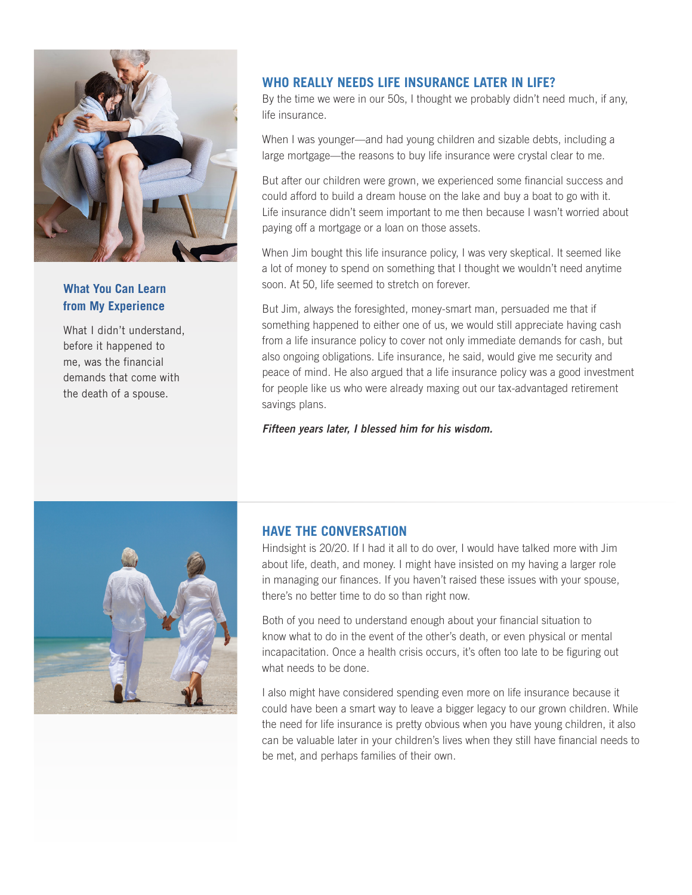

#### **What You Can Learn from My Experience**

What I didn't understand, before it happened to me, was the financial demands that come with the death of a spouse.

#### **WHO REALLY NEEDS LIFE INSURANCE LATER IN LIFE?**

By the time we were in our 50s, I thought we probably didn't need much, if any, life insurance.

When I was younger—and had young children and sizable debts, including a large mortgage—the reasons to buy life insurance were crystal clear to me.

But after our children were grown, we experienced some financial success and could afford to build a dream house on the lake and buy a boat to go with it. Life insurance didn't seem important to me then because I wasn't worried about paying off a mortgage or a loan on those assets.

When Jim bought this life insurance policy, I was very skeptical. It seemed like a lot of money to spend on something that I thought we wouldn't need anytime soon. At 50, life seemed to stretch on forever.

But Jim, always the foresighted, money-smart man, persuaded me that if something happened to either one of us, we would still appreciate having cash from a life insurance policy to cover not only immediate demands for cash, but also ongoing obligations. Life insurance, he said, would give me security and peace of mind. He also argued that a life insurance policy was a good investment for people like us who were already maxing out our tax-advantaged retirement savings plans.

*Fifteen years later, I blessed him for his wisdom.*



#### **HAVE THE CONVERSATION**

Hindsight is 20/20. If I had it all to do over, I would have talked more with Jim about life, death, and money. I might have insisted on my having a larger role in managing our finances. If you haven't raised these issues with your spouse, there's no better time to do so than right now.

Both of you need to understand enough about your financial situation to know what to do in the event of the other's death, or even physical or mental incapacitation. Once a health crisis occurs, it's often too late to be figuring out what needs to be done.

I also might have considered spending even more on life insurance because it could have been a smart way to leave a bigger legacy to our grown children. While the need for life insurance is pretty obvious when you have young children, it also can be valuable later in your children's lives when they still have financial needs to be met, and perhaps families of their own.